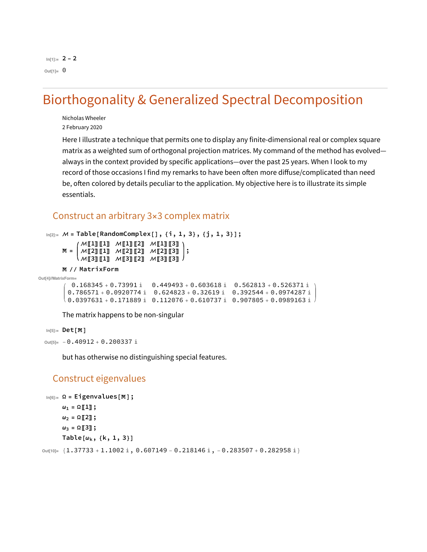# **Biorthogonality & Generalized Spectral Decomposition**

Nicholas Wheeler 2 February 2020

Here I illustrate a technique that permits one to display any finite-dimensional real or complex square matrix as a weighted sum of orthogonal projection matrices. My command of the method has evolvedalways in the context provided by specific applications—over the past 25 years. When I look to my record of those occasions I find my remarks to have been often more diffuse/complicated than need be, often colored by details peculiar to the application. My objective here is to illustrate its simple essentials.

# Construct an arbitrary 3x3 complex matrix

```
In [2] := M = Table [RandomComplex[], {i, 1, 3}, {j, 1, 3}];
           \mathcal{M}[1][1] \mathcal{M}[1][2] \mathcal{M}[1][3])
       M =M[2][1] M[2][2] M[2][3] |;
           \^[3][1] ^[3][2] ^[3][3]\
       M // MatrixForm
Out[4]//MatrixForm=
         0.168345 + 0.73991 i 0.449493 + 0.603618 i 0.562813 + 0.526371 i
        0.786571 + 0.0920774 i 0.624823 + 0.32619 i 0.392544 + 0.0974287 i
       \backslash 0.0397631 + 0.171889 i 0.112076 + 0.610737 i 0.907805 + 0.0989163 i
```
The matrix happens to be non-singular

```
In[5]:= Det [M]
```
out[5]=  $-0.40912 + 0.200337$  i

but has otherwise no distinguishing special features.

#### Construct eigenvalues

```
In[6]:=\Omega = Eigenvalues[M];\omega_1 = \Omega \llbracket 1 \rrbracket;
          \omega_2 = \Omega[2];
          \omega_3 = \Omega \llbracket 3 \rrbracket;
          Table[\omega_{k}, {k, 1, 3}]
out[10]= \{1.37733 + 1.1002 \text{ i}, 0.607149 - 0.218146 \text{ i}, -0.283507 + 0.282958 \text{ i}\}
```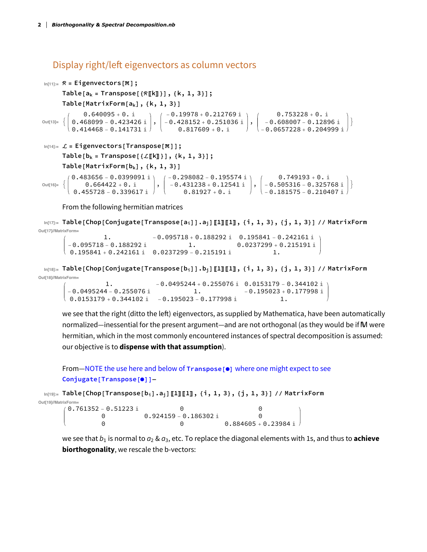# Display right/left eigenvectors as column vectors

```
In[11]:=\mathcal{R} = Eigenvectors[M];Table [a_k = Transpose[\mathcal{R}[[k]]], \{k, 1, 3\}];Table[MatrixForm[a_k], {k, 1, 3}]
                 \begin{pmatrix} 0.640095 & +0. \text{ i} & -0.19978 & +0.212769 \text{ i} & 0.753228 & +0. \text{ i} \ 0.468099 & -0.423426 \text{ i} & -0.428152 & +0.251036 \text{ i} & -0.608007 & -0.12896 \text{ i} \ 0.414468 & -0.141731 \text{ i} & 0.817609 & +0. \text{ i} & -0.0657228 & +0.204999 \text{ i} \end{pmatrix}Out[13]=\backslash -0.0657228 + 0.204999 i /
 In[14]:=\mathcal{L} = Eigenvectors [Transpose [M]];
            Table [b_k = Transpose [{L[[k]]}], {k, 1, 3}];
            Table[MatrixForm[b_k], {k, 1, 3}]
                  \left( \begin{array}{c} 0.483656 - 0.0399091 \text{ i } \\ 0.664422 + 0. \text{ i } \\ 0.455728 - 0.339617 \text{ i } \end{array} \right), \; \left( \begin{array}{c} -0.298082 - 0.195574 \text{ i } \\ -0.431238 + 0.12541 \text{ i } \\ 0.81927 + 0. \text{ i } \end{array} \right), \; \left( \begin{array}{c} 0.749193 + 0. \text{ i } \\ -0.505316 - 0.3250.483656 - 0.0399091 iOut[16]= \left\{ \right.
```
From the following hermitian matrices

In[17]:= Table[Chop[Conjugate[Transpose[a<sub>i</sub>]].a<sub>j</sub>][1][1][1],{i,1,3},{j,1,3}]//MatrixForm Out[17]//MatrixForm=

```
1.-0.095718 + 0.188292 i 0.195841 - 0.242161 i
-0.095718 - 0.188292 i
                                          0.0237299 + 0.215191 i
                             0.195841 + 0.242161 i 0.0237299 - 0.215191 i
                                                   \overline{1}.
```
 $\ln[18]$  = Table[Chop[Conjugate[Transpose[b<sub>i</sub>]].b<sub>j</sub>][1][1], {i, 1, 3}, {j, 1, 3}] // MatrixForm Out[18]//MatrixForm=

```
-0.0495244 + 0.255076 i 0.0153179 - 0.344102 i
           1<sub>1</sub>-0.0495244 - 0.255076 i
                                                      -0.195023 + 0.177998 i
                                      1.0.0153179 + 0.344102 i -0.195023 - 0.177998 i
                                                                 \overline{1}.
```
we see that the right (ditto the left) eigenvectors, as supplied by Mathematica, have been automatically normalized—inessential for the present argument—and are not orthogonal (as they would be if M were hermitian, which in the most commonly encountered instances of spectral decomposition is assumed: our objective is to dispense with that assumption).

#### From-NOTE the use here and below of Transpose [0] where one might expect to see Conjugate [Transpose [0] ]-

```
\mathbb{R}^{\text{in}[19]:z} Table[Chop[Transpose[b<sub>i</sub>].a<sub>j</sub>][1][1], {i, 1, 3}, {j, 1, 3}] // MatrixForm
```
Out[19]//MatrixForm=

| / 0.761352 – 0.51223 i |                         |                        |  |
|------------------------|-------------------------|------------------------|--|
|                        | $0.924159 - 0.186302$ i |                        |  |
|                        |                         | $0.884605 + 0.23984$ i |  |

we see that  $b_1$  is normal to  $a_2$  &  $a_3$ , etc. To replace the diagonal elements with 1s, and thus to **achieve biorthogonality**, we rescale the b-vectors: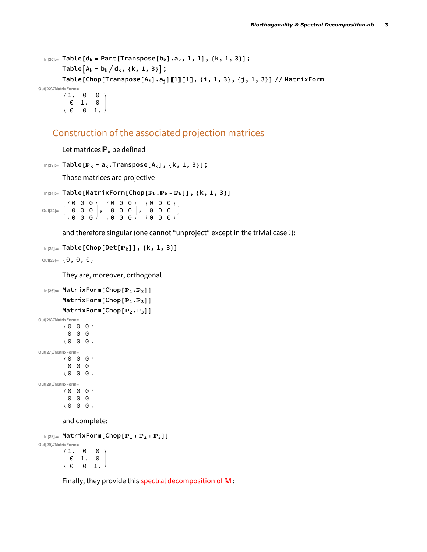```
In [20]:= Table [d_k = Part[Transpose [b_k] .a_k, 1, 1], {k, 1, 3}];
        Table [A_k = b_k / d_k, \{k, 1, 3\}];
        Table[Chop[Transpose[A<sub>i</sub>].a<sub>j</sub>][1][1], {i, 1, 3}, {j, 1, 3}] // MatrixForm
Out[22]//MatrixForm=
          1._{\odot}\Theta
```
 $0$  1.  $0$ <br> $0$  0 1.

### Construction of the associated projection matrices

Let matrices  $P_k$  be defined

```
In [23]:= Table [P_k = a_k.Transpace[A_k], {k, 1, 3}];
```
Those matrices are projective

```
In [24]:= Table [MatrixForm [Chop [\mathbb{P}_k \cdot \mathbb{P}_k - \mathbb{P}_k]], {k, 1, 3}]
```
Out[24]=  $\left\{ \begin{pmatrix} 0 & 0 & 0 \\ 0 & 0 & 0 \end{pmatrix}, \begin{pmatrix} 0 & 0 & 0 \\ 0 & 0 & 0 \end{pmatrix}, \begin{pmatrix} 0 & 0 & 0 \\ 0 & 0 & 0 \end{pmatrix} \right\}$ 

and therefore singular (one cannot "unproject" except in the trivial case I):

```
In[25]:= Table[Chop[Det[P_k]], {k, 1, 3}]
```

```
Out[25]= \{0, 0, 0\}
```
They are, moreover, orthogonal

```
In [26]:= MatrixForm [Chop [P_1.P_2]]
     MatrixForm[Chop[P_1.P_3]]
     MatrixForm[Chop[P_2.P_3]]
```

```
Out[26]//MatrixForm=
         0 0 00 0 0(000
Out[27]//MatrixForm=
         0 0 00 0 0\Theta0 0Out[28]//MatrixForm=
         0 0 00 0 00 0 0
```
and complete:

 $In [29]:=$  MatrixForm [Chop  $[\mathbb{P}_1 + \mathbb{P}_2 + \mathbb{P}_3]$ ]

Out[29]//MatrixForm=  $1.00$  $0$  1.  $0$  $\Theta$  $\begin{matrix} 0 & 1 \end{matrix}$ 

Finally, they provide this spectral decomposition of M: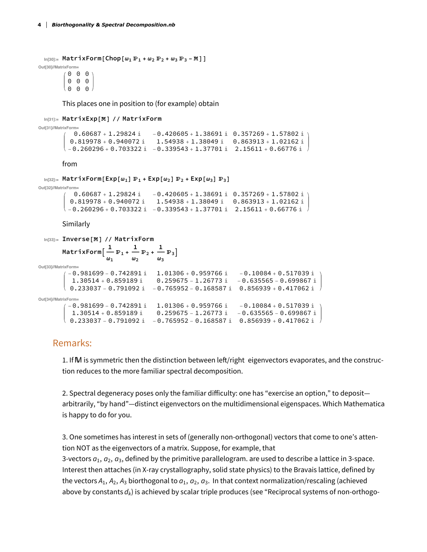```
\ln[30] = MatrixForm [Chop \omega_1 \mathbb{P}_1 + \omega_2 \mathbb{P}_2 + \omega_3 \mathbb{P}_3 - M]]
```
Out[30]//MatrixForm=  $0$   $0$   $0$  $0$   $0$   $0$ (000)

This places one in position to (for example) obtain

```
In[31]:= MatrixExp[M] // MatrixForm
```

```
Out[31]//MatrixForm=
               0.60687 + 1.29824 \text{ i} -0.420605 + 1.38691 \text{ i} 0.357269 + 1.57802 \text{ i}0.819978 + 0.940072 \text{ i} 1.54938 + 1.38049 i 0.863913 + 1.02162 i
           \backslash -0.260296+0.703322 \rm \dot{\scriptscriptstyle I} -0.339543+1.37701 \rm \dot{\scriptscriptstyle I} 2.15611+0.66776 \rm \dot{\scriptscriptstyle I}
```
from

```
\ln[32]: MatrixForm [Exp[\omega_1] \mathbb{P}_1 + Exp[\omega_2] \mathbb{P}_2 + Exp[\omega_3] \mathbb{P}_3]
```

```
Out[32]//MatrixForm=
           0.60687 + 1.29824 \text{ i} -0.420605 + 1.38691 \text{ i} 0.357269 + 1.57802 \text{ i}0.819978 + 0.940072 i 1.54938 + 1.38049 i 0.863913 + 1.02162 i
        \backslash -0.260296+0.703322 \rm i -0.339543+1.37701 \rm i 2.15611+0.66776 \rm i
```
Similarly

```
In[33]:= Inverse[M] // MatrixForm
          MatrixForm\left[\begin{array}{c} \frac{1}{\omega_1} \mathbb{P}_1 + \frac{1}{\omega_2} \mathbb{P}_2 + \frac{1}{\omega_3} \mathbb{P}_3 \end{array}\right]Out[33]//MatrixForm=
           (-0.981699 - 0.742891 \text{ i} 1.01306 + 0.959766 i -0.10084 + 0.517039 \text{ i}1.30514 + 0.859189 \pm 0.259675 - 1.26773 \pm -0.635565 - 0.699867 \pm0.233037 - 0.791092 \text{m} -0.765952 - 0.168587 \text{m} 0.856939 + 0.417062 \text{m}Out[34]//MatrixForm=
             -0.981699 - 0.742891 i 1.01306 + 0.959766 i -0.10084 + 0.517039 i
             1.30514 + 0.859189 \text{ i } 0.259675 - 1.26773 \text{ i } -0.635565 - 0.699867 \text{ i}<br>0.233037 - 0.791092 i - 0.765952 - 0.168587 i 0.856939 + 0.417062 i
```
#### Remarks:

1. If M is symmetric then the distinction between left/right eigenvectors evaporates, and the construction reduces to the more familiar spectral decomposition.

2. Spectral degeneracy poses only the familiar difficulty: one has "exercise an option," to depositarbitrarily, "by hand"—distinct eigenvectors on the multidimensional eigenspaces. Which Mathematica is happy to do for you.

3. One sometimes has interest in sets of (generally non-orthogonal) vectors that come to one's attention NOT as the eigenvectors of a matrix. Suppose, for example, that 3-vectors  $a_1$ ,  $a_2$ ,  $a_3$ , defined by the primitive parallelogram. are used to describe a lattice in 3-space. Interest then attaches (in X-ray crystallography, solid state physics) to the Bravais lattice, defined by the vectors  $A_1$ ,  $A_2$ ,  $A_3$  biorthogonal to  $a_1$ ,  $a_2$ ,  $a_3$ . In that context normalization/rescaling (achieved above by constants  $d_k$ ) is achieved by scalar triple produces (see "Reciprocal systems of non-orthogo-